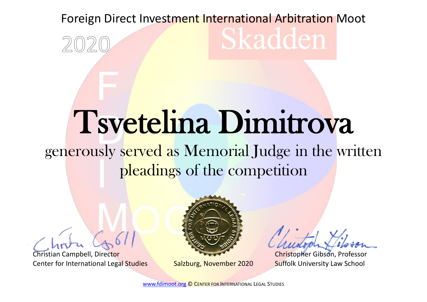## Foreign Direct Investment International Arbitration Moot Skadden

## Tsvetelina Dimitrova

## generously served as Memorial Judge in the written pleadings of the competition

Christian Campbell, Director Center for International Legal Studies Salzburg, November 2020



Christopher Gibson, Professor Suffolk University Law School